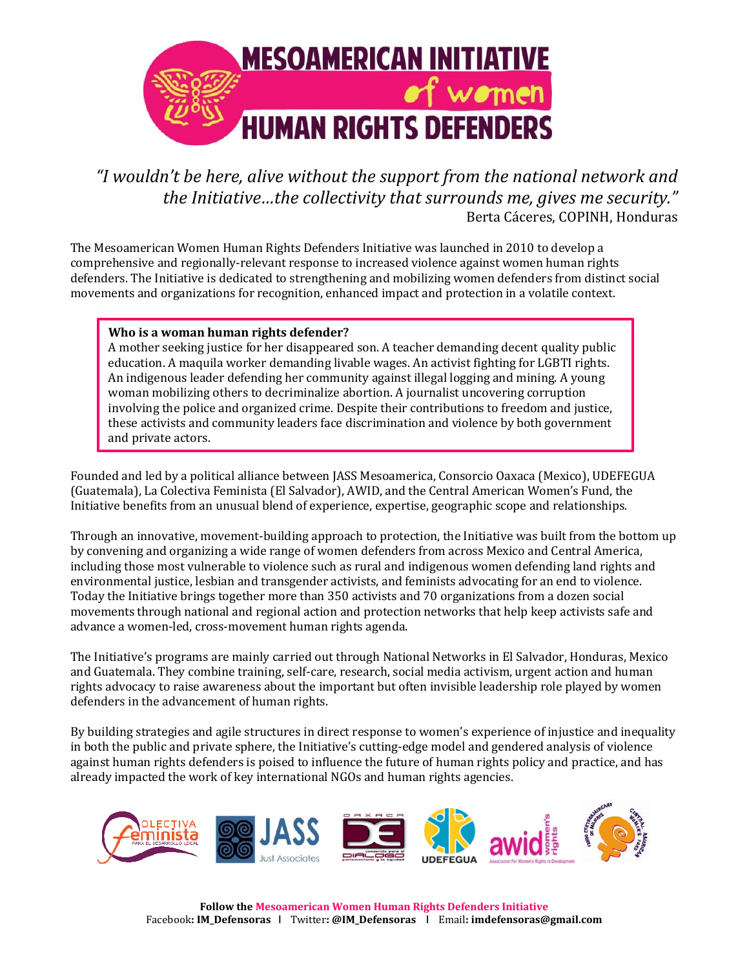

*"I wouldn't be here, alive without the support from the national network and the Initiative…the collectivity that surrounds me, gives me security."* Berta Cáceres, COPINH, Honduras

The Mesoamerican Women Human Rights Defenders Initiative was launched in 2010 to develop a comprehensive and regionally-relevant response to increased violence against women human rights defenders. The Initiative is dedicated to strengthening and mobilizing women defenders from distinct social movements and organizations for recognition, enhanced impact and protection in a volatile context.

## **Who is a woman human rights defender?**

A mother seeking justice for her disappeared son. A teacher demanding decent quality public education. A maquila worker demanding livable wages. An activist fighting for LGBTI rights. An indigenous leader defending her community against illegal logging and mining. A young woman mobilizing others to decriminalize abortion. A journalist uncovering corruption involving the police and organized crime. Despite their contributions to freedom and justice, these activists and community leaders face discrimination and violence by both government and private actors.

Founded and led by a political alliance between JASS Mesoamerica, Consorcio Oaxaca (Mexico), UDEFEGUA (Guatemala), La Colectiva Feminista (El Salvador), AWID, and the Central American Women's Fund, the Initiative benefits from an unusual blend of experience, expertise, geographic scope and relationships.

Through an innovative, movement-building approach to protection, the Initiative was built from the bottom up by convening and organizing a wide range of women defenders from across Mexico and Central America, including those most vulnerable to violence such as rural and indigenous women defending land rights and environmental justice, lesbian and transgender activists, and feminists advocating for an end to violence. Today the Initiative brings together more than 350 activists and 70 organizations from a dozen social movements through national and regional action and protection networks that help keep activists safe and advance a women-led, cross-movement human rights agenda.

The Initiative's programs are mainly carried out through National Networks in El Salvador, Honduras, Mexico and Guatemala. They combine training, self-care, research, social media activism, urgent action and human rights advocacy to raise awareness about the important but often invisible leadership role played by women defenders in the advancement of human rights.

By building strategies and agile structures in direct response to women's experience of injustice and inequality in both the public and private sphere, the Initiative's cutting-edge model and gendered analysis of violence against human rights defenders is poised to influence the future of human rights policy and practice, and has already impacted the work of key international NGOs and human rights agencies.